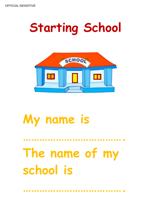## **Starting School**



## **My name is**

# **The name of my school is**

**……………………………….**

**……………………………….**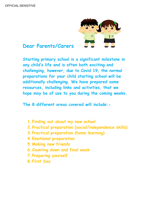

#### **Dear Parents/Carers**

**Starting primary school is a significant milestone in any child's life and is often both exciting and challenging, however, due to Covid 19, the normal preparations for your child starting school will be additionally challenging. We have prepared some resources, including links and activities, that we hope may be of use to you during the coming weeks.** 

**The 8 different areas covered will include:-**

- **1.Finding out about my new school**
- **2.Practical preparation (social/independence skills)**
- **3.Practical preparation (home learning)**
- **4.Emotional preparation**
- **5.Making new friends**
- **6.Counting down and final week**
- **7.Preparing yourself**
- **8.First Day**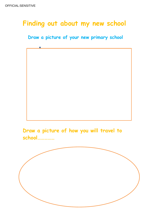### **Finding out about my new school**

#### **Draw a picture of your new primary school**



**Draw a picture of how you will travel to school……………**

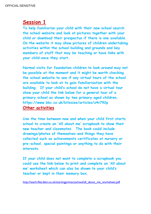**To help familiarise your child with their new school search the school website and look at pictures together with your child or download their prospectus if there is one available. On the website it may show pictures of children undertaking activities within the school building and grounds and key members of staff that may be teaching or have links with your child once they start.** 

**Normal visits for foundation children to look around may not be possible at the moment and it might be worth checking the school website to see if any virtual tours of the school are available to look at to gain familiarisation with the building. If your child's school do not have a virtual tour show your child the link below for a general tour of a primary school as shown by two primary aged children. https://www.bbc.co.uk/bitesize/articles/z4v792p**

#### **Other activities**

**Use the time between now and when your child first starts school to create an 'All about me' scrapbook to show their new teacher and classmates. The book could include drawings/photos of themselves and things they have collected such as achievements certificates at nursery or pre-school, special paintings or anything to do with their interests.**

**If your child does not want to complete a scrapbook you could use the link below to print and complete an 'All about me' worksheet which can also be shown to your child's teacher or kept in their memory box.**

[http://teach.files.bbci.co.uk/startingprimaryschool/all\\_about\\_me\\_worksheet.pdf](http://teach.files.bbci.co.uk/startingprimaryschool/all_about_me_worksheet.pdf)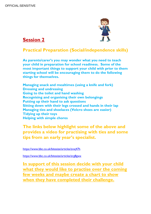

#### **Practical Preparation (Social/independence skills)**

**As parents/carer's you may wonder what you need to teach your child in preparation for school readiness. Some of the most important things to support your child with prior to them starting school will be encouraging them to do the following things for themselves.**

**Managing snack and mealtimes (using a knife and fork) Dressing and undressing Going to the toilet and hand washing Recognising and organising their own belongings Putting up their hand to ask questions Sitting down with their legs crossed and hands in their lap Managing ties and shoelaces (Velcro shoes are easier) Tidying up their toys Helping with simple chores**

**The links below highlight some of the above and provides a video for practising with ties and some tips from an early year's specialist.**

<https://www.bbc.co.uk/bitesize/articles/zvxj47h>

<https://www.bbc.co.uk/bitesize/articles/zrg8gwx>

**In support of this session decide with your child what they would like to practise over the coming few weeks and maybe create a chart to show when they have completed their challenge.**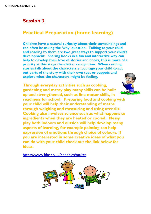#### **Practical Preparation (home learning)**

**Children have a natural curiosity about their surroundings and can often be asking the 'why' question. Talking to your child and reading to them are two great ways to support your child's development. Sharing books in a fun and interactive way can help to develop their love of stories and books, this is more of a priority at this stage than letter recognition. When reading stories talk about the characters encourage your child to act out parts of the story with their own toys or puppets and explore what the characters might be feeling.**

**Through everyday activities such as cooking, gardening and messy play many skills can be built up and strengthened, such as fine motor skills, in readiness for school. Preparing food and cooking with your child will help their understanding of maths through weighing and measuring and using utensils. Cooking also involves science such as what happens to ingredients when they are heated or cooled. Messy play both indoors and outside will help develop many aspects of learning, for example painting can help expression of emotions through choice of colours. If you are interested in some creative ideas of what you can do with your child check out the link below for ideas.**

<https://www.bbc.co.uk/cbeebies/makes>



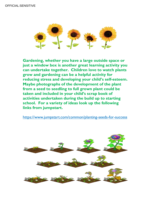

**Gardening, whether you have a large outside space or just a window box is another great learning activity you can undertake together. Children love to watch plants grow and gardening can be a helpful activity for reducing stress and developing your child's self-esteem. Maybe photographs of the development of the plant from a seed to seedling to full grown plant could be taken and included in your child's scrap book of activities undertaken during the build up to starting school. For a variety of ideas look up the following links from jumpstart.** 

<https://www.jumpstart.com/common/planting-seeds-for-success>

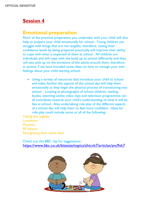#### **Emotional preparation**

Much of the practical preparation you undertake with your child will also help to prepare your child emotionally for school. Young children can struggle with things that are not tangible, therefore, raising their confidence levels by being prepared practically will improve their ability to cope with what is expected of them at school. All children are individuals and will cope with the build up to school differently and they will also pick up on the emotions of the adults around them, therefore, in section 7 we have included some ideas on how to manage your own feelings about your child starting school.

 Using a variety of resources that introduce your child to school and make familiar the aspects of the school day will help them emotionally as they begin the physical process of transitioning into school. Looking at photographs of school children, reading books, watching online video clips and television programmes can all contribute towards your child's understanding of what it will be like at school. Also undertaking role play of the different aspects of a school day will help them to feel more confident. Ideas for role play could include some or all of the following:-

Taking the register Lunchtime Playtime PE lessons Recognising their name label

Check out this BBC clip for suggestions: <https://www.bbc.co.uk/bitesize/topics/zhtcvk7/articles/znc9vk7>

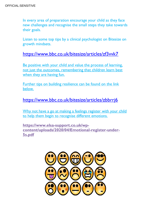In every area of preparation encourage your child as they face new challenges and recognise the small steps they take towards their goals.

Listen to some top tips by a clinical psychologist on Bitesize on growth mindsets.

#### <https://www.bbc.co.uk/bitesize/articles/zf3vvk7>

Be positive with your child and value the process of learning, not just the outcomes, remembering that children learn best when they are having fun.

Further tips on building resilience can be found on the link below.

#### <https://www.bbc.co.uk/bitesize/articles/zbbrrj6>

Why not have a go at making a feelings register with your child to help them begin to recognise different emotions.

**[https://www.elsa-support.co.uk/wp](https://www.elsa-support.co.uk/wp-content/uploads/2020/04/Emotional-register-under-5s.pdf)[content/uploads/2020/04/Emotional-register-under-](https://www.elsa-support.co.uk/wp-content/uploads/2020/04/Emotional-register-under-5s.pdf)[5s.pdf](https://www.elsa-support.co.uk/wp-content/uploads/2020/04/Emotional-register-under-5s.pdf)**

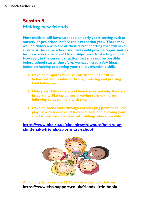#### **Session 5 Making new friends**

**Most children will have attended an early years setting such as nursery or pre-school before their reception year. There may well be children who are at their current setting that will have a place at the same school and that could provide opportunities for playdates to help build friendships prior to starting school. However, in the current situation that may not be possible before school starts, therefore, we have listed a few ideas below on helping to develop your child's friendship skills.** 

- **1. Develop empathy through role modelling positive behaviour and reinforce through noticing and praising kind behaviour.**
- **2. Help your child understand boundaries and why they are important. Playing games involving turn taking and following rules can help with this.**
- **3. Develop social skills through encouraging politeness, role playing with teddies and favourite toys and allowing your child to resolve squabbles with siblings where possible.**

#### **[https://www.bbc.co.uk/cbeebies/grownups/help-your](https://www.bbc.co.uk/cbeebies/grownups/help-your-child-make-friends-at-primary-school)[child-make-friends-at-primary-school](https://www.bbc.co.uk/cbeebies/grownups/help-your-child-make-friends-at-primary-school)**



**An activity to try on the ELSA website during lockdown. https://www.elsa-support.co.uk/friends-little-book/**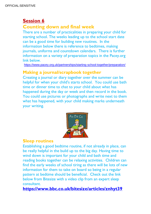**Counting down and final week**

There are a number of practicalities in preparing your child for starting school. The weeks leading up to the school start date can be a good time for building new routines. In the information below there is reference to bedtimes, making journals, uniforms and countdown calendars. There is further information on a variety of preparation topics in the Pacey.org link below.

<https://www.pacey.org.uk/partnerships/starting-school-together/preparation/>

#### **Making a journal/scrapbook together**

Creating a journal or diary together over the summer can be helpful for when your child's starts school. You could use bath time or dinner time to chat to your child about what has happened during the day or week and then record in the book. You could use pictures or photographs and write next to them what has happened, with your child making marks underneath your writing.



#### **Sleep routines**

Establishing a good bedtime routine, if not already in place, can be really helpful in the build up to the big day. Having time to wind down is important for your child and bath time and reading books together can be relaxing activities. Children can find the early weeks of school tiring as there will be lots of new information for them to take on board so being in a regular pattern at bedtime should be beneficial. Check out the link below from Bitesize with a video clip from an expert sleep consultant.

**<https://www.bbc.co.uk/bitesize/articles/znhyt39>**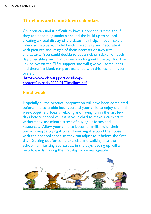#### **Timelines and countdown calendars**

Children can find it difficult to have a concept of time and if they are becoming anxious around the build up to school creating a visual display of the dates may help. If you make a calendar involve your child with the activity and decorate it with pictures and images of their interests or favourite characters. You could decide to put a tick or sticker on each day to enable your child to see how long until the big day. The link below on the ELSA support site will give you some ideas and there is a blank template attached with this session if you prefer.

[https://www.elsa-support.co.uk/wp](https://www.elsa-support.co.uk/wp-content/uploads/2020/01/Timelines.pdf)[content/uploads/2020/01/Timelines.pdf](https://www.elsa-support.co.uk/wp-content/uploads/2020/01/Timelines.pdf)

#### **Final week**

Hopefully all the practical preparation will have been completed beforehand to enable both you and your child to enjoy the final week together. Ideally relaxing and having fun in the last few days before school will assist your child to make a calm start without any last minute stress of buying uniforms and resources. Allow your child to become familiar with their uniform maybe trying it on and wearing it around the house with their school shoes so they can adjust to it before the first day. Getting out for some exercise and walking past the school, familiarising yourselves, in the days leading up will all help towards making the first day more manageable.

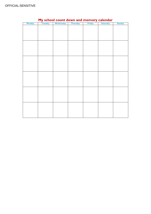| Monday | <u> 77</u><br>Tuesday | Wednesday | <b>Thursday</b> | - ---<br>$\cdots$<br>Friday | --<br><b>Saturday</b> | <b>Sunday</b> |
|--------|-----------------------|-----------|-----------------|-----------------------------|-----------------------|---------------|
|        |                       |           |                 |                             |                       |               |
|        |                       |           |                 |                             |                       |               |
|        |                       |           |                 |                             |                       |               |
|        |                       |           |                 |                             |                       |               |
|        |                       |           |                 |                             |                       |               |
|        |                       |           |                 |                             |                       |               |
|        |                       |           |                 |                             |                       |               |
|        |                       |           |                 |                             |                       |               |
|        |                       |           |                 |                             |                       |               |
|        |                       |           |                 |                             |                       |               |
|        |                       |           |                 |                             |                       |               |
|        |                       |           |                 |                             |                       |               |
|        |                       |           |                 |                             |                       |               |
|        |                       |           |                 |                             |                       |               |
|        |                       |           |                 |                             |                       |               |
|        |                       |           |                 |                             |                       |               |
|        |                       |           |                 |                             |                       |               |
|        |                       |           |                 |                             |                       |               |
|        |                       |           |                 |                             |                       |               |
|        |                       |           |                 |                             |                       |               |
|        |                       |           |                 |                             |                       |               |
|        |                       |           |                 |                             |                       |               |
|        |                       |           |                 |                             |                       |               |
|        |                       |           |                 |                             |                       |               |
|        |                       |           |                 |                             |                       |               |
|        |                       |           |                 |                             |                       |               |
|        |                       |           |                 |                             |                       |               |
|        |                       |           |                 |                             |                       |               |
|        |                       |           |                 |                             |                       |               |

#### **My school count down and memory calendar**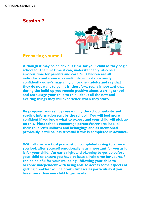

#### **Preparing yourself**

**Although it may be an anxious time for your child as they begin school for the first time it can, understandably, also be an anxious time for parents and carer's. Children are all individuals and some may walk into school apparently confidently other's may cling on to their adults and say that they do not want to go. It is, therefore, really important that during the build-up you remain positive about starting school and encourage your child to think about all the new and exciting things they will experience when they start.** 

**Be prepared yourself by researching the school website and reading information sent by the school. You will feel more confident if you know what to expect and your child will pick up on this. Most schools encourage parents/carer's to label all their children's uniform and belongings and as mentioned previously it will be less stressful if this is completed in advance.** 

**With all the practical preparation completed trying to ensure you look after yourself emotionally is as important for you as it is for your child. An early night and planning to get up before your child to ensure you have at least a little time for yourself can be helpful for your wellbeing. Allowing your child to become independent with being able to access some aspects of getting breakfast will help with timescales particularly if you have more than one child to get ready.**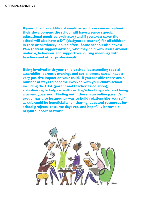**If your child has additional needs or you have concerns about their development the school will have a senco (special educational needs co-ordinator) and if you are a carer the school will also have a DT (designated teacher) for all children in care or previously looked after. Some schools also have a PSA (parent support advisor) who may help with issues around uniform, behaviour and support you during meetings with teachers and other professionals.**

**Being involved with your child's school by attending special assemblies, parent's evenings and social events can all have a very positive impact on your child. If you are able there are a number of ways to become involved with your child's school including the PTA (parent and teacher association), volunteering to help i.e. with reading/school trips etc. and being a parent governor. Finding out if there is an online parent's group may also be another way to build relationships yourself as this could be beneficial when sharing ideas and resources for school projects, costume days etc. and hopefully become a helpful support network.**

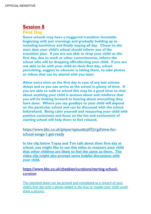**First Day**

**Some schools may have a staggered transition timetable beginning with just mornings and gradually building up to including lunchtime and finally staying all day. Closer to the start date your child's school should inform you of the transition plan. If you are not able to drop your child on the first day, due to work or other commitments, inform the school who will be dropping off/collecting your child. If you are not able to be with your child on their first day, school permitting, suggest to whoever is taking them, to take photos or videos that can be shared with you later.**

**Allow extra time on the first day in case of any last minute delays and so you can arrive at the school in plenty of time. If you are able to walk to school this may be a good time to chat about anything your child is anxious about and reinforce that you will be looking forward to hearing about everything they have done. Where you say goodbye to your child will depend on the particular school and can be discussed with the school beforehand. Being calm yourself and reassuring your child with positive comments and focus on the fun and excitement of starting school will help them to feel relaxed.** 

[https://www.bbc.co.uk/iplayer/episode/p07jt1gd/time-for](https://www.bbc.co.uk/iplayer/episode/p07jt1gd/time-for-school-songs-1-get-ready)[school-songs-1-get-ready](https://www.bbc.co.uk/iplayer/episode/p07jt1gd/time-for-school-songs-1-get-ready)

**In the clip below Topsy and Tim talk about their first day at school, you might like to use this video to reassure your child that other children are likely to feel the same as them. The video clip might also prompt some helpful discussions with your child.**

[https://www.bbc.co.uk/cbeebies/curations/starting-school](https://www.bbc.co.uk/cbeebies/curations/starting-school-curation)[curation](https://www.bbc.co.uk/cbeebies/curations/starting-school-curation)

The attached sheet can be printed and completed as a record of your child's first day with a photo added in the box or maybe your child could draw a picture.